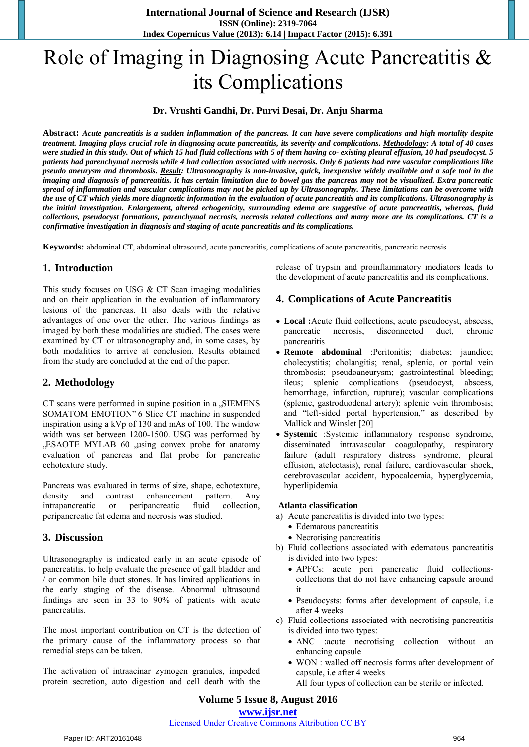# Role of Imaging in Diagnosing Acute Pancreatitis & its Complications

### **Dr. Vrushti Gandhi, Dr. Purvi Desai, Dr. Anju Sharma**

**Abstract:** *Acute pancreatitis is a sudden inflammation of the pancreas. It can have severe complications and high mortality despite treatment. Imaging plays crucial role in diagnosing acute pancreatitis, its severity and complications. Methodology: A total of 40 cases were studied in this study. Out of which 15 had fluid collections with 5 of them having co- existing pleural effusion, 10 had pseudocyst. 5 patients had parenchymal necrosis while 4 had collection associated with necrosis. Only 6 patients had rare vascular complications like*  pseudo aneurysm and thrombosis. Result: Ultrasonography is non-invasive, quick, inexpensive widely available and a safe tool in the imaging and diagnosis of pancreatitis. It has certain limitation due to bowel gas the pancreas may not be visualized. Extra pancreatic spread of inflammation and vascular complications may not be picked up by Ultrasonography. These limitations can be overcome with the use of CT which yields more diagnostic information in the evaluation of acute pancreatitis and its complications. Ultrasonography is the initial investigation. Enlargement, altered echogenicity, surrounding edema are suggestive of acute pancreatitis, whereas, fluid collections, pseudocyst formations, parenchymal necrosis, necrosis related collections and many more are its complications. CT is a *confirmative investigation in diagnosis and staging of acute pancreatitis and its complications.*

**Keywords:** abdominal CT, abdominal ultrasound, acute pancreatitis, complications of acute pancreatitis, pancreatic necrosis

# **1. Introduction**

This study focuses on USG & CT Scan imaging modalities and on their application in the evaluation of inflammatory lesions of the pancreas. It also deals with the relative advantages of one over the other. The various findings as imaged by both these modalities are studied. The cases were examined by CT or ultrasonography and, in some cases, by both modalities to arrive at conclusion. Results obtained from the study are concluded at the end of the paper.

# **2. Methodology**

CT scans were performed in supine position in a , SIEMENS SOMATOM EMOTION" 6 Slice CT machine in suspended inspiration using a kVp of 130 and mAs of 100. The window width was set between 1200-1500. USG was performed by , ESAOTE MYLAB 60 , using convex probe for anatomy evaluation of pancreas and flat probe for pancreatic echotexture study.

Pancreas was evaluated in terms of size, shape, echotexture, density and contrast enhancement pattern. Any intrapancreatic or peripancreatic fluid collection, peripancreatic fat edema and necrosis was studied.

# **3. Discussion**

Ultrasonography is indicated early in an acute episode of pancreatitis, to help evaluate the presence of gall bladder and / or common bile duct stones. It has limited applications in the early staging of the disease. Abnormal ultrasound findings are seen in 33 to 90% of patients with acute pancreatitis.

The most important contribution on CT is the detection of the primary cause of the inflammatory process so that remedial steps can be taken.

The activation of intraacinar zymogen granules, impeded protein secretion, auto digestion and cell death with the release of trypsin and proinflammatory mediators leads to the development of acute pancreatitis and its complications.

## **4. Complications of Acute Pancreatitis**

- **Local :**Acute fluid collections, acute pseudocyst, abscess, pancreatic necrosis, disconnected duct, chronic pancreatitis
- **Remote abdominal** :Peritonitis; diabetes; jaundice; cholecystitis; cholangitis; renal, splenic, or portal vein thrombosis; pseudoaneurysm; gastrointestinal bleeding; ileus; splenic complications (pseudocyst, abscess, hemorrhage, infarction, rupture); vascular complications (splenic, gastroduodenal artery); splenic vein thrombosis; and "left-sided portal hypertension," as described by Mallick and Winslet [20]
- **Systemic** :Systemic inflammatory response syndrome, disseminated intravascular coagulopathy, respiratory failure (adult respiratory distress syndrome, pleural effusion, atelectasis), renal failure, cardiovascular shock, cerebrovascular accident, hypocalcemia, hyperglycemia, hyperlipidemia

#### **Atlanta classification**

- a) Acute pancreatitis is divided into two types:
	- Edematous pancreatitis
	- Necrotising pancreatitis
- b) Fluid collections associated with edematous pancreatitis is divided into two types:
	- APFCs: acute peri pancreatic fluid collectionscollections that do not have enhancing capsule around it
	- Pseudocysts: forms after development of capsule, i.e after 4 weeks
- c) Fluid collections associated with necrotising pancreatitis is divided into two types:
	- ANC :acute necrotising collection without an enhancing capsule
	- WON : walled off necrosis forms after development of capsule, i.e after 4 weeks
	- All four types of collection can be sterile or infected.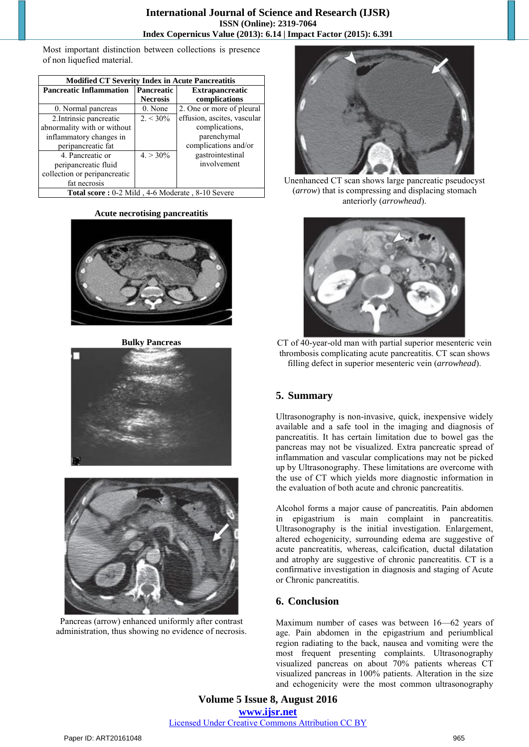Most important distinction between collections is presence of non liquefied material.

| <b>Modified CT Severity Index in Acute Pancreatitis</b> |                   |                             |
|---------------------------------------------------------|-------------------|-----------------------------|
| <b>Pancreatic Inflammation</b>                          | <b>Pancreatic</b> | <b>Extrapancreatic</b>      |
|                                                         | <b>Necrosis</b>   | complications               |
| 0. Normal pancreas                                      | 0. None           | 2. One or more of pleural   |
| 2. Intrinsic pancreatic                                 | $2. < 30\%$       | effusion, ascites, vascular |
| abnormality with or without                             |                   | complications,              |
| inflammatory changes in                                 |                   | parenchymal                 |
| peripancreatic fat                                      |                   | complications and/or        |
| 4. Pancreatic or                                        | $4. > 30\%$       | gastrointestinal            |
| peripancreatic fluid                                    |                   | involvement                 |
| collection or peripancreatic                            |                   |                             |
| fat necrosis                                            |                   |                             |
| Total score: 0-2 Mild, 4-6 Moderate, 8-10 Severe        |                   |                             |

#### **Acute necrotising pancreatitis**



**Bulky Pancreas** 





Pancreas (arrow) enhanced uniformly after contrast administration, thus showing no evidence of necrosis.



Unenhanced CT scan shows large pancreatic pseudocyst (*arrow*) that is compressing and displacing stomach anteriorly (*arrowhead*).



CT of 40-year-old man with partial superior mesenteric vein thrombosis complicating acute pancreatitis. CT scan shows filling defect in superior mesenteric vein (*arrowhead*).

# **5. Summary**

Ultrasonography is non-invasive, quick, inexpensive widely available and a safe tool in the imaging and diagnosis of pancreatitis. It has certain limitation due to bowel gas the pancreas may not be visualized. Extra pancreatic spread of inflammation and vascular complications may not be picked up by Ultrasonography. These limitations are overcome with the use of CT which yields more diagnostic information in the evaluation of both acute and chronic pancreatitis.

Alcohol forms a major cause of pancreatitis. Pain abdomen in epigastrium is main complaint in pancreatitis. Ultrasonography is the initial investigation. Enlargement, altered echogenicity, surrounding edema are suggestive of acute pancreatitis, whereas, calcification, ductal dilatation and atrophy are suggestive of chronic pancreatitis. CT is a confirmative investigation in diagnosis and staging of Acute or Chronic pancreatitis.

## **6. Conclusion**

Maximum number of cases was between 16—62 years of age. Pain abdomen in the epigastrium and periumblical region radiating to the back, nausea and vomiting were the most frequent presenting complaints. Ultrasonography visualized pancreas on about 70% patients whereas CT visualized pancreas in 100% patients. Alteration in the size and echogenicity were the most common ultrasonography

**Volume 5 Issue 8, August 2016 www.ijsr.net** Licensed Under Creative Commons Attribution CC BY